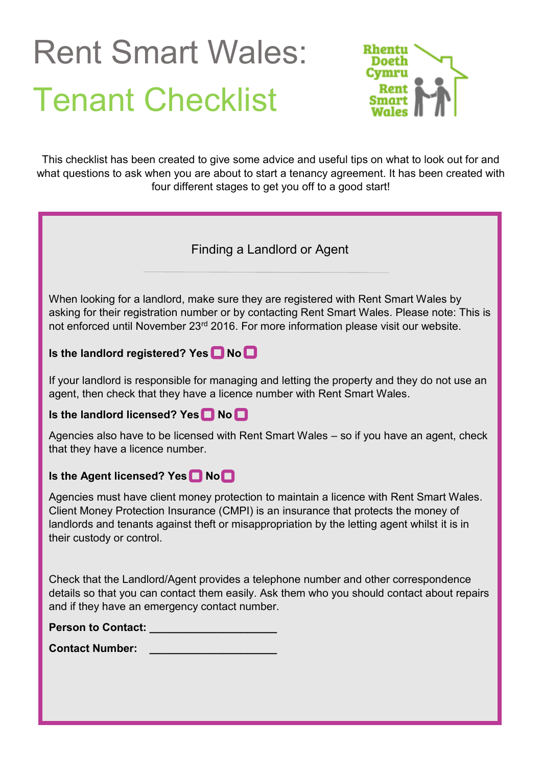# Rent Smart Wales: Tenant Checklist

Doeth Cymru

This checklist has been created to give some advice and useful tips on what to look out for and what questions to ask when you are about to start a tenancy agreement. It has been created with four different stages to get you off to a good start!

Finding a Landlord or Agent

When looking for a landlord, make sure they are registered with Rent Smart Wales by asking for their registration number or by contacting Rent Smart Wales. Please note: This is not enforced until November 23<sup>rd</sup> 2016. For more information please visit our website.

#### **Is the landlord registered? Yes No**

If your landlord is responsible for managing and letting the property and they do not use an agent, then check that they have a licence number with Rent Smart Wales.

#### **Is the landlord licensed? Yes No**

Agencies also have to be licensed with Rent Smart Wales – so if you have an agent, check that they have a licence number.

#### **Is the Agent licensed? Yes** No<sup>1</sup>

Agencies must have client money protection to maintain a licence with Rent Smart Wales. Client Money Protection Insurance (CMPI) is an insurance that protects the money of landlords and tenants against theft or misappropriation by the letting agent whilst it is in their custody or control.

Check that the Landlord/Agent provides a telephone number and other correspondence details so that you can contact them easily. Ask them who you should contact about repairs and if they have an emergency contact number.

| <b>Person to Contact:</b> |  |
|---------------------------|--|
|                           |  |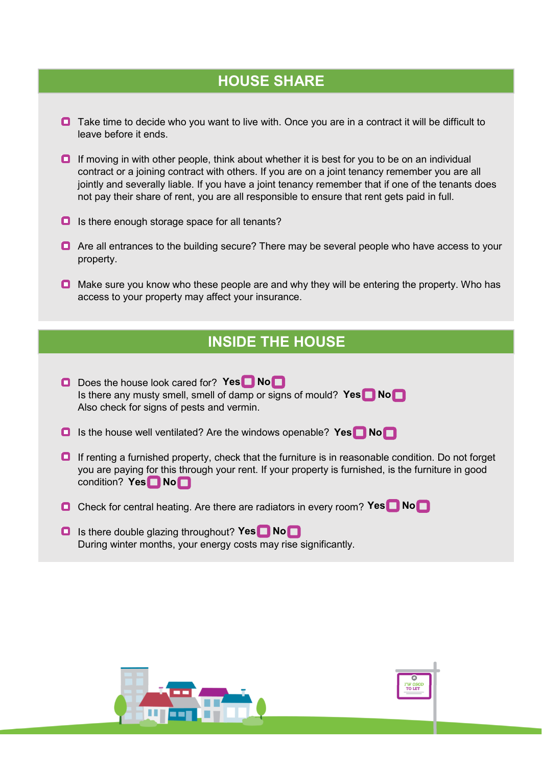# **HOUSE SHARE**

- $\Box$  Take time to decide who you want to live with. Once you are in a contract it will be difficult to leave before it ends.
- $\Box$  If moving in with other people, think about whether it is best for you to be on an individual contract or a joining contract with others. If you are on a joint tenancy remember you are all jointly and severally liable. If you have a joint tenancy remember that if one of the tenants does not pay their share of rent, you are all responsible to ensure that rent gets paid in full.
- $\Box$  Is there enough storage space for all tenants?
- **O** Are all entrances to the building secure? There may be several people who have access to your property.
- **O** Make sure you know who these people are and why they will be entering the property. Who has access to your property may affect your insurance.

## **INSIDE THE HOUSE**

| o | Does the house look cared for? Yes No<br>Is there any musty smell, smell of damp or signs of mould? Yes No<br>Also check for signs of pests and vermin.                                                                                 |
|---|-----------------------------------------------------------------------------------------------------------------------------------------------------------------------------------------------------------------------------------------|
|   | Is the house well ventilated? Are the windows openable? Yes $\Box$ No $\Box$                                                                                                                                                            |
| o | If renting a furnished property, check that the furniture is in reasonable condition. Do not forget<br>you are paying for this through your rent. If your property is furnished, is the furniture in good<br>condition? Yes <b>□</b> No |
| o | Check for central heating. Are there are radiators in every room? Yes $\Box$ No $\Box$                                                                                                                                                  |
| o | Is there double glazing throughout? Yes $\Box$ No $\Box$                                                                                                                                                                                |

During winter months, your energy costs may rise significantly.

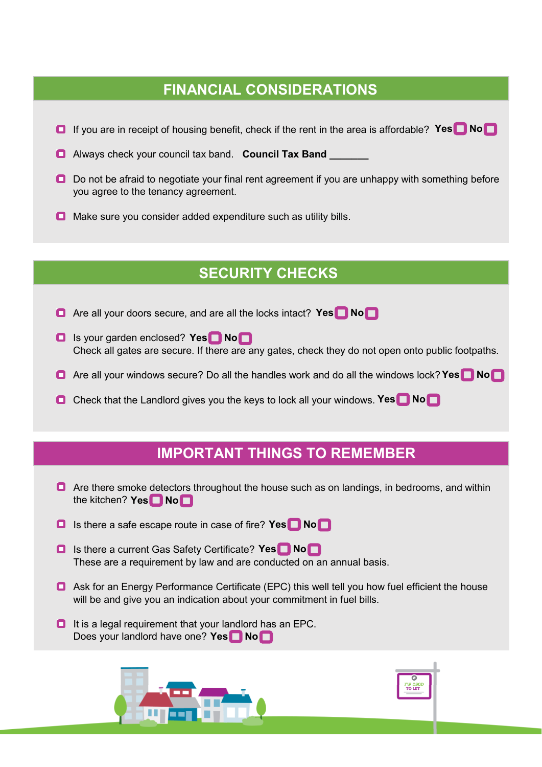## **FINANCIAL CONSIDERATIONS**

- If you are in receipt of housing benefit, check if the rent in the area is affordable? Yes **No**
- **Q** Always check your council tax band. **Council Tax Band**
- Do not be afraid to negotiate your final rent agreement if you are unhappy with something before you agree to the tenancy agreement.
- **O** Make sure you consider added expenditure such as utility bills.

# **SECURITY CHECKS**

- Are all your doors secure, and are all the locks intact? Yes **No**
- Is your garden enclosed? **Yes No** Check all gates are secure. If there are any gates, check they do not open onto public footpaths.
- Are all your windows secure? Do all the handles work and do all the windows lock? Yes **No**
- Check that the Landlord gives you the keys to lock all your windows. Yes **No**

### **IMPORTANT THINGS TO REMEMBER**

- **O** Are there smoke detectors throughout the house such as on landings, in bedrooms, and within the kitchen? **Yes No**
- Is there a safe escape route in case of fire? Yes **No**
- Is there a current Gas Safety Certificate? **Yes No**These are a requirement by law and are conducted on an annual basis.
- Ask for an Energy Performance Certificate (EPC) this well tell you how fuel efficient the house will be and give you an indication about your commitment in fuel bills.
- $\Box$  It is a legal requirement that your landlord has an EPC. Does your landlord have one? Yes<sup>1</sup>No



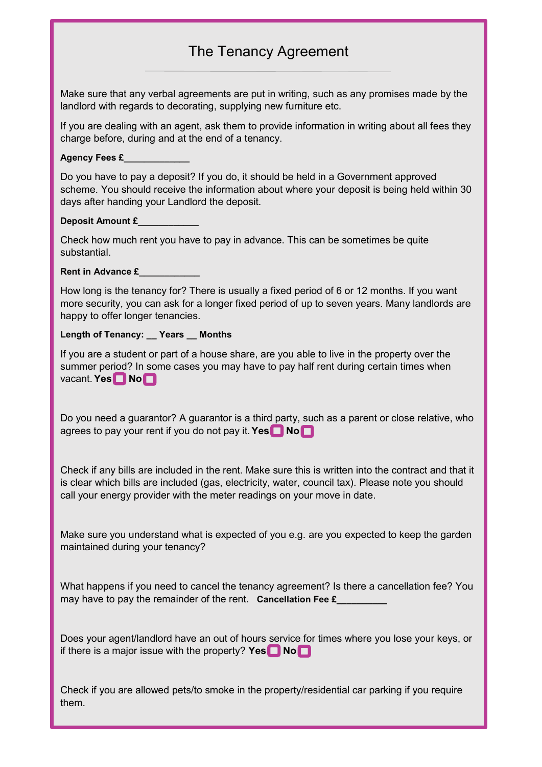|  |  | The Tenancy Agreement |
|--|--|-----------------------|
|--|--|-----------------------|

Make sure that any verbal agreements are put in writing, such as any promises made by the landlord with regards to decorating, supplying new furniture etc.

If you are dealing with an agent, ask them to provide information in writing about all fees they charge before, during and at the end of a tenancy.

**Agency Fees £** 

Do you have to pay a deposit? If you do, it should be held in a Government approved scheme. You should receive the information about where your deposit is being held within 30 days after handing your Landlord the deposit.

Deposit Amount £

Check how much rent you have to pay in advance. This can be sometimes be quite substantial.

**Rent in Advance £** 

How long is the tenancy for? There is usually a fixed period of 6 or 12 months. If you want more security, you can ask for a longer fixed period of up to seven years. Many landlords are happy to offer longer tenancies.

**Length of Tenancy: \_\_ Years \_\_ Months**

If you are a student or part of a house share, are you able to live in the property over the summer period? In some cases you may have to pay half rent during certain times when **vacant. Yes ■ No** 

Do you need a guarantor? A guarantor is a third party, such as a parent or close relative, who agrees to pay your rent if you do not pay it. **Yes No**

Check if any bills are included in the rent. Make sure this is written into the contract and that it is clear which bills are included (gas, electricity, water, council tax). Please note you should call your energy provider with the meter readings on your move in date.

Make sure you understand what is expected of you e.g. are you expected to keep the garden maintained during your tenancy?

What happens if you need to cancel the tenancy agreement? Is there a cancellation fee? You may have to pay the remainder of the rent. **Cancellation Fee £\_** 

Does your agent/landlord have an out of hours service for times where you lose your keys, or if there is a major issue with the property? **Yes No**

Check if you are allowed pets/to smoke in the property/residential car parking if you require them.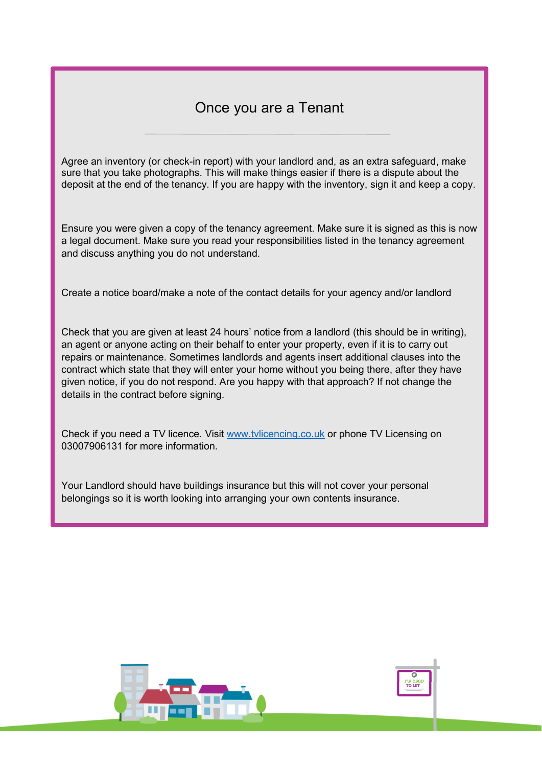## Once you are a Tenant

Agree an inventory (or check-in report) with your landlord and, as an extra safeguard, make sure that you take photographs. This will make things easier if there is a dispute about the deposit at the end of the tenancy. If you are happy with the inventory, sign it and keep a copy.

Ensure you were given a copy of the tenancy agreement. Make sure it is signed as this is now a legal document. Make sure you read your responsibilities listed in the tenancy agreement and discuss anything you do not understand.

Create a notice board/make a note of the contact details for your agency and/or landlord

Check that you are given at least 24 hours' notice from a landlord (this should be in writing), an agent or anyone acting on their behalf to enter your property, even if it is to carry out repairs or maintenance. Sometimes landlords and agents insert additional clauses into the contract which state that they will enter your home without you being there, after they have given notice, if you do not respond. Are you happy with that approach? If not change the details in the contract before signing.

Check if you need a TV licence. Visit [www.tvlicencing.co.uk](http://www.tvlicencing.co.uk/) or phone TV Licensing on 03007906131 for more information.

Your Landlord should have buildings insurance but this will not cover your personal belongings so it is worth looking into arranging your own contents insurance.